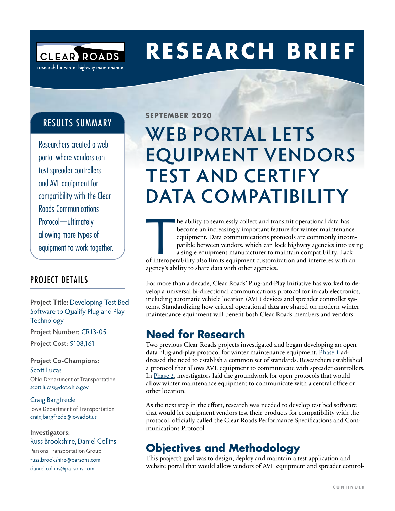

# **RESEARCH BRIEF**

### RESULTS SUMMARY

Researchers created a web portal where vendors can test spreader controllers and AVL equipment for compatibility with the Clear Roads Communications Protocol—ultimately allowing more types of equipment to work together.

### PROJECT DETAILS

### **Project Title:** Developing Test Bed Software to Qualify Plug and Play **Technology**

**Project Number:** CR13-05

**Project Cost:** \$108,161

**Project Co-Champions:**  Scott Lucas Ohio Department of Transportation [scott.lucas@dot.ohio.gov](mailto:scott.lucas@dot.ohio.gov)

### Craig Bargfrede

Iowa Department of Transportation [craig.bargfrede@iowadot.us](mailto:craig.bargfrede@iowadot.us)

#### **Investigators:**

Russ Brookshire, Daniel Collins Parsons Transportation Group [russ.brookshire@parsons.com](mailto:russ.brookshire@parsons.com) [daniel.collins@parsons.com](mailto:daniel.collins@parsons.com)

**SEPTEMBER 2020**

## **WEB PORTAL LETS EQUIPMENT VENDORS TEST AND CERTIFY DATA COMPATIBILITY**

The ability to seamlessly collect and transmit operational data has<br>
become an increasingly important feature for winter maintenance<br>
equipment. Data communications protocols are commonly incom-<br>
patible between vendors, w become an increasingly important feature for winter maintenance equipment. Data communications protocols are commonly incompatible between vendors, which can lock highway agencies into using a single equipment manufacturer to maintain compatibility. Lack agency's ability to share data with other agencies.

For more than a decade, Clear Roads' Plug-and-Play Initiative has worked to develop a universal bi-directional communications protocol for in-cab electronics, including automatic vehicle location (AVL) devices and spreader controller systems. Standardizing how critical operational data are shared on modern winter maintenance equipment will benefit both Clear Roads members and vendors.

### **Need for Research**

Two previous Clear Roads projects investigated and began developing an open data plug-and-play protocol for winter maintenance equipment. [Phase 1](https://clearroads.org/project/development-of-interface-specifications-for-mobile-data-platforms-on-dot-vehicles/) addressed the need to establish a common set of standards. Researchers established a protocol that allows AVL equipment to communicate with spreader controllers. In [Phase 2,](https://clearroads.org/project/14-04/) investigators laid the groundwork for open protocols that would allow winter maintenance equipment to communicate with a central office or other location.

As the next step in the effort, research was needed to develop test bed software that would let equipment vendors test their products for compatibility with the protocol, officially called the Clear Roads Performance Specifications and Communications Protocol.

## **Objectives and Methodology**

This project's goal was to design, deploy and maintain a test application and website portal that would allow vendors of AVL equipment and spreader control-